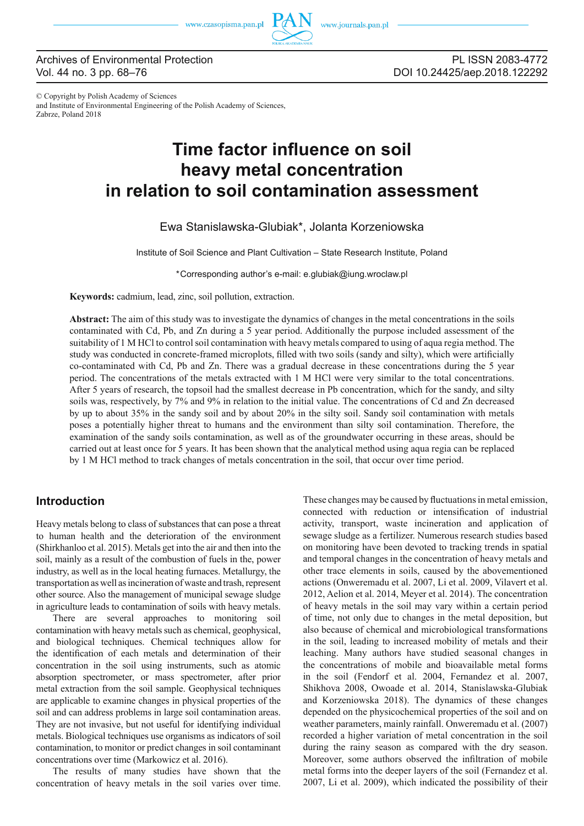

# Archives of Environmental Protection Vol. 44 no. 3 pp. 68–76

PL ISSN 2083-4772 DOI 10.24425/aep.2018.122292

© Copyright by Polish Academy of Sciences and Institute of Environmental Engineering of the Polish Academy of Sciences, Zabrze, Poland 2018

# **Time factor influence on soil heavy metal concentration in relation to soil contamination assessment**

# Ewa Stanislawska-Glubiak\*, Jolanta Korzeniowska

Institute of Soil Science and Plant Cultivation – State Research Institute, Poland

\*Corresponding author's e-mail: e.glubiak@iung.wroclaw.pl

**Keywords:** cadmium, lead, zinc, soil pollution, extraction.

**Abstract:** The aim of this study was to investigate the dynamics of changes in the metal concentrations in the soils contaminated with Cd, Pb, and Zn during a 5 year period. Additionally the purpose included assessment of the suitability of 1 M HCl to control soil contamination with heavy metals compared to using of aqua regia method. The study was conducted in concrete-framed microplots, filled with two soils (sandy and silty), which were artificially co-contaminated with Cd, Pb and Zn. There was a gradual decrease in these concentrations during the 5 year period. The concentrations of the metals extracted with 1 M HCl were very similar to the total concentrations. After 5 years of research, the topsoil had the smallest decrease in Pb concentration, which for the sandy, and silty soils was, respectively, by 7% and 9% in relation to the initial value. The concentrations of Cd and Zn decreased by up to about 35% in the sandy soil and by about 20% in the silty soil. Sandy soil contamination with metals poses a potentially higher threat to humans and the environment than silty soil contamination. Therefore, the examination of the sandy soils contamination, as well as of the groundwater occurring in these areas, should be carried out at least once for 5 years. It has been shown that the analytical method using aqua regia can be replaced by 1 M HCl method to track changes of metals concentration in the soil, that occur over time period.

# **Introduction**

Heavy metals belong to class of substances that can pose a threat to human health and the deterioration of the environment (Shirkhanloo et al. 2015). Metals get into the air and then into the soil, mainly as a result of the combustion of fuels in the, power industry, as well as in the local heating furnaces. Metallurgy, the transportation as well as incineration of waste and trash, represent other source. Also the management of municipal sewage sludge in agriculture leads to contamination of soils with heavy metals.

There are several approaches to monitoring soil contamination with heavy metals such as chemical, geophysical, and biological techniques. Chemical techniques allow for the identification of each metals and determination of their concentration in the soil using instruments, such as atomic absorption spectrometer, or mass spectrometer, after prior metal extraction from the soil sample. Geophysical techniques are applicable to examine changes in physical properties of the soil and can address problems in large soil contamination areas. They are not invasive, but not useful for identifying individual metals. Biological techniques use organisms as indicators of soil contamination, to monitor or predict changes in soil contaminant concentrations over time (Markowicz et al. 2016).

The results of many studies have shown that the concentration of heavy metals in the soil varies over time. These changes may be caused by fluctuations in metal emission, connected with reduction or intensification of industrial activity, transport, waste incineration and application of sewage sludge as a fertilizer. Numerous research studies based on monitoring have been devoted to tracking trends in spatial and temporal changes in the concentration of heavy metals and other trace elements in soils, caused by the abovementioned actions (Onweremadu et al. 2007, Li et al. 2009, Vilavert et al. 2012, Aelion et al. 2014, Meyer et al. 2014). The concentration of heavy metals in the soil may vary within a certain period of time, not only due to changes in the metal deposition, but also because of chemical and microbiological transformations in the soil, leading to increased mobility of metals and their leaching. Many authors have studied seasonal changes in the concentrations of mobile and bioavailable metal forms in the soil (Fendorf et al. 2004, Fernandez et al. 2007, Shikhova 2008, Owoade et al. 2014, Stanislawska-Glubiak and Korzeniowska 2018). The dynamics of these changes depended on the physicochemical properties of the soil and on weather parameters, mainly rainfall. Onweremadu et al. (2007) recorded a higher variation of metal concentration in the soil during the rainy season as compared with the dry season. Moreover, some authors observed the infiltration of mobile metal forms into the deeper layers of the soil (Fernandez et al. 2007, Li et al. 2009), which indicated the possibility of their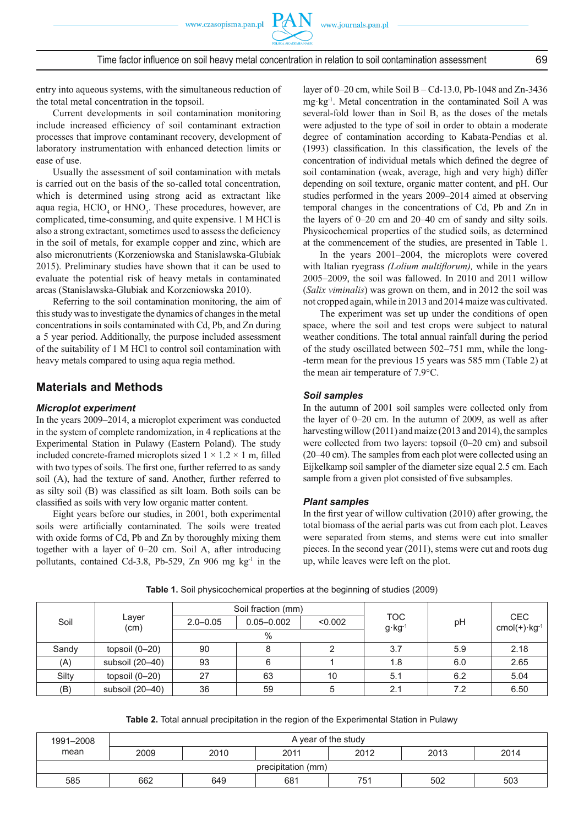entry into aqueous systems, with the simultaneous reduction of the total metal concentration in the topsoil.

Current developments in soil contamination monitoring include increased efficiency of soil contaminant extraction processes that improve contaminant recovery, development of laboratory instrumentation with enhanced detection limits or ease of use.

Usually the assessment of soil contamination with metals is carried out on the basis of the so-called total concentration, which is determined using strong acid as extractant like aqua regia,  $HClO<sub>4</sub>$  or  $HNO<sub>3</sub>$ . These procedures, however, are complicated, time-consuming, and quite expensive. 1 M HCl is also a strong extractant, sometimes used to assess the deficiency in the soil of metals, for example copper and zinc, which are also micronutrients (Korzeniowska and Stanislawska-Glubiak 2015). Preliminary studies have shown that it can be used to evaluate the potential risk of heavy metals in contaminated areas (Stanislawska-Glubiak and Korzeniowska 2010).

Referring to the soil contamination monitoring, the aim of this study was to investigate the dynamics of changes in the metal concentrations in soils contaminated with Cd, Pb, and Zn during a 5 year period. Additionally, the purpose included assessment of the suitability of 1 M HCl to control soil contamination with heavy metals compared to using aqua regia method.

# **Materials and Methods**

#### *Microplot experiment*

In the years 2009–2014, a microplot experiment was conducted in the system of complete randomization, in 4 replications at the Experimental Station in Pulawy (Eastern Poland). The study included concrete-framed microplots sized  $1 \times 1.2 \times 1$  m, filled with two types of soils. The first one, further referred to as sandy soil (A), had the texture of sand. Another, further referred to as silty soil  $(B)$  was classified as silt loam. Both soils can be classified as soils with very low organic matter content.

Eight years before our studies, in 2001, both experimental soils were artificially contaminated. The soils were treated with oxide forms of Cd, Pb and Zn by thoroughly mixing them together with a layer of 0–20 cm. Soil A, after introducing pollutants, contained Cd-3.8, Pb-529, Zn 906 mg  $kg<sup>-1</sup>$  in the layer of 0–20 cm, while Soil B – Cd-13.0, Pb-1048 and Zn-3436 mg·kg-1. Metal concentration in the contaminated Soil A was several-fold lower than in Soil B, as the doses of the metals were adjusted to the type of soil in order to obtain a moderate degree of contamination according to Kabata-Pendias et al.  $(1993)$  classification. In this classification, the levels of the concentration of individual metals which defined the degree of soil contamination (weak, average, high and very high) differ depending on soil texture, organic matter content, and pH. Our studies performed in the years 2009–2014 aimed at observing temporal changes in the concentrations of Cd, Pb and Zn in the layers of 0–20 cm and 20–40 cm of sandy and silty soils. Physicochemical properties of the studied soils, as determined at the commencement of the studies, are presented in Table 1.

In the years 2001–2004, the microplots were covered with Italian ryegrass *(Lolium multiflorum)*, while in the years 2005–2009, the soil was fallowed. In 2010 and 2011 willow (*Salix viminalis*) was grown on them, and in 2012 the soil was not cropped again, while in 2013 and 2014 maize was cultivated.

The experiment was set up under the conditions of open space, where the soil and test crops were subject to natural weather conditions. The total annual rainfall during the period of the study oscillated between 502–751 mm, while the long- -term mean for the previous 15 years was 585 mm (Table 2) at the mean air temperature of 7.9°C.

#### *Soil samples*

In the autumn of 2001 soil samples were collected only from the layer of 0–20 cm. In the autumn of 2009, as well as after harvesting willow (2011) and maize (2013 and 2014), the samples were collected from two layers: topsoil (0–20 cm) and subsoil (20–40 cm). The samples from each plot were collected using an Eijkelkamp soil sampler of the diameter size equal 2.5 cm. Each sample from a given plot consisted of five subsamples.

#### *Plant samples*

In the first year of willow cultivation  $(2010)$  after growing, the total biomass of the aerial parts was cut from each plot. Leaves were separated from stems, and stems were cut into smaller pieces. In the second year (2011), stems were cut and roots dug up, while leaves were left on the plot.

|                  | $2.0 - 0.05$  | $0.05 - 0.002$ | < 0.002 |                    | pH                              | <b>CEC</b><br>$cmol(+)$ ·kg <sup>-1</sup> |  |
|------------------|---------------|----------------|---------|--------------------|---------------------------------|-------------------------------------------|--|
|                  | $\%$          |                |         |                    |                                 |                                           |  |
| topsoil $(0-20)$ | 90            |                |         | 3.7                | 5.9                             | 2.18                                      |  |
| subsoil (20-40)  | 93            |                |         | 1.8                | 6.0                             | 2.65                                      |  |
| topsoil $(0-20)$ | 27            | 63             | 10      | 5.1                | 6.2                             | 5.04                                      |  |
| subsoil (20-40)  | 36            | 59             |         | 2.1                | 7.2                             | 6.50                                      |  |
|                  | Layer<br>(cm) |                |         | Soil fraction (mm) | <b>TOC</b><br>$g \cdot kg^{-1}$ |                                           |  |

**Table 1.** Soil physicochemical properties at the beginning of studies (2009)

| Table 2. Total annual precipitation in the region of the Experimental Station in Pulawy |  |  |  |  |  |
|-----------------------------------------------------------------------------------------|--|--|--|--|--|
|-----------------------------------------------------------------------------------------|--|--|--|--|--|

| 1991-2008          | A year of the study                          |     |     |     |     |     |  |  |
|--------------------|----------------------------------------------|-----|-----|-----|-----|-----|--|--|
| mean               | 2009<br>2012<br>2010<br>2013<br>2014<br>2011 |     |     |     |     |     |  |  |
| precipitation (mm) |                                              |     |     |     |     |     |  |  |
| 585                | 662                                          | 649 | 681 | 751 | 502 | 503 |  |  |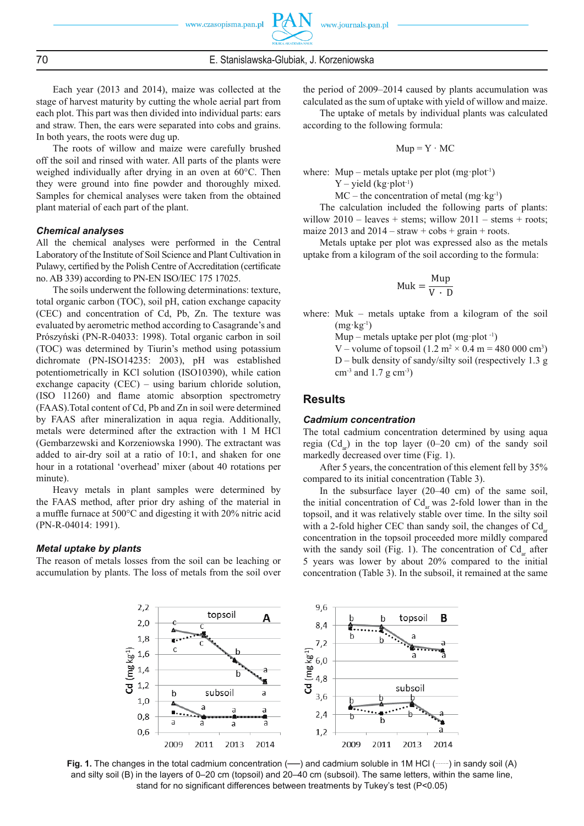70 E. Stanislawska-Glubiak, J. Korzeniowska

Each year (2013 and 2014), maize was collected at the stage of harvest maturity by cutting the whole aerial part from each plot. This part was then divided into individual parts: ears and straw. Then, the ears were separated into cobs and grains. In both years, the roots were dug up.

The roots of willow and maize were carefully brushed off the soil and rinsed with water. All parts of the plants were weighed individually after drying in an oven at 60°C. Then they were ground into fine powder and thoroughly mixed. Samples for chemical analyses were taken from the obtained plant material of each part of the plant.

## *Chemical analyses*

All the chemical analyses were performed in the Central Laboratory of the Institute of Soil Science and Plant Cultivation in Pulawy, certified by the Polish Centre of Accreditation (certificate no. AB 339) according to PN-EN ISO/IEC 175 17025.

The soils underwent the following determinations: texture, total organic carbon (TOC), soil pH, cation exchange capacity (CEC) and concentration of Cd, Pb, Zn. The texture was evaluated by aerometric method according to Casagrande's and Prószyński (PN-R-04033: 1998). Total organic carbon in soil (TOC) was determined by Tiurin's method using potassium dichromate (PN-ISO14235: 2003), pH was established potentiometrically in KCl solution (ISO10390), while cation exchange capacity (CEC) – using barium chloride solution,  $(ISO 11260)$  and flame atomic absorption spectrometry (FAAS).Total content of Cd, Pb and Zn in soil were determined by FAAS after mineralization in aqua regia. Additionally, metals were determined after the extraction with 1 M HCl (Gembarzewski and Korzeniowska 1990). The extractant was added to air-dry soil at a ratio of 10:1, and shaken for one hour in a rotational 'overhead' mixer (about 40 rotations per minute).

Heavy metals in plant samples were determined by the FAAS method, after prior dry ashing of the material in a muffle furnace at  $500^{\circ}$ C and digesting it with 20% nitric acid (PN-R-04014: 1991).

#### *Metal uptake by plants*

The reason of metals losses from the soil can be leaching or accumulation by plants. The loss of metals from the soil over

the period of 2009–2014 caused by plants accumulation was calculated as the sum of uptake with yield of willow and maize.

The uptake of metals by individual plants was calculated according to the following formula:

$$
Mup = Y \cdot MC
$$

where: Mup – metals uptake per plot  $(mg \cdot plot^{-1})$ 

 $Y$  – yield (kg·plot<sup>-1</sup>)

 $MC$  – the concentration of metal (mg·kg<sup>-1</sup>)

The calculation included the following parts of plants: willow  $2010$  – leaves + stems; willow  $2011$  – stems + roots; maize 2013 and  $2014 - \text{straw} + \text{cobs} + \text{grain} + \text{roots}$ .

Metals uptake per plot was expressed also as the metals uptake from a kilogram of the soil according to the formula:

$$
Muk = \frac{Mup}{V \cdot D}
$$

where: Muk – metals uptake from a kilogram of the soil  $(mg \cdot kg^{-1})$ 

Mup – metals uptake per plot  $(mg \cdot plot^{-1})$ 

V – volume of topsoil  $(1.2 \text{ m}^2 \times 0.4 \text{ m} = 480\ 000 \text{ cm}^3)$  D – bulk density of sandy/silty soil (respectively 1.3 g  $cm<sup>-3</sup>$  and 1.7 g  $cm<sup>-3</sup>$ )

### **Results**

#### *Cadmium concentration*

The total cadmium concentration determined by using aqua regia  $(Cd_{\text{av}})$  in the top layer (0–20 cm) of the sandy soil markedly decreased over time (Fig. 1).

After 5 years, the concentration of this element fell by 35% compared to its initial concentration (Table 3).

In the subsurface layer (20–40 cm) of the same soil, the initial concentration of  $Cd<sub>z</sub>$  was 2-fold lower than in the topsoil, and it was relatively stable over time. In the silty soil with a 2-fold higher CEC than sandy soil, the changes of  $Cd_{\text{at}}$ concentration in the topsoil proceeded more mildly compared with the sandy soil (Fig. 1). The concentration of  $Cd_{ar}$  after 5 years was lower by about 20% compared to the initial concentration (Table 3). In the subsoil, it remained at the same



**Fig. 1.** The changes in the total cadmium concentration (—) and cadmium soluble in 1M HCl (……) in sandy soil (A) and silty soil (B) in the layers of 0–20 cm (topsoil) and 20–40 cm (subsoil). The same letters, within the same line, stand for no significant differences between treatments by Tukey's test (P<0.05)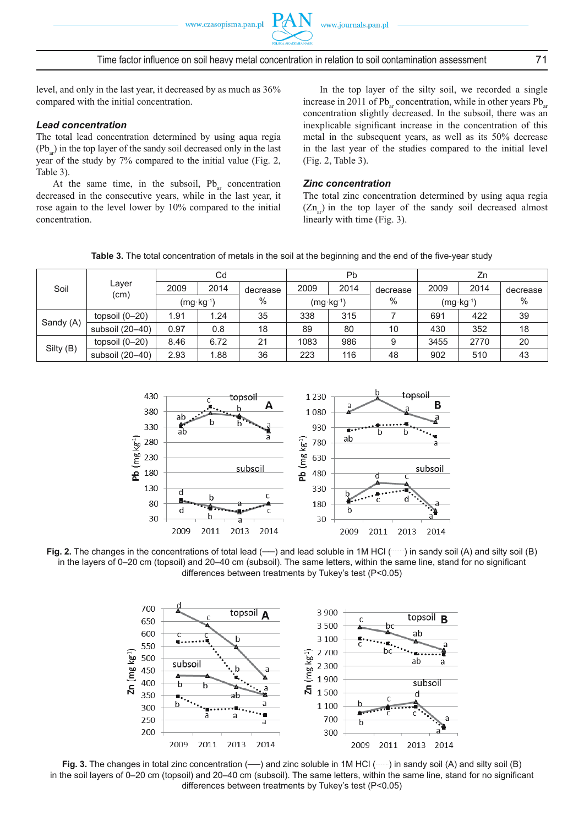

level, and only in the last year, it decreased by as much as 36% compared with the initial concentration.

## *Lead concentration*

The total lead concentration determined by using aqua regia  $(Pb)$  in the top layer of the sandy soil decreased only in the last year of the study by 7% compared to the initial value (Fig. 2, Table 3).

At the same time, in the subsoil,  $Pb_{ar}$  concentration decreased in the consecutive years, while in the last year, it rose again to the level lower by 10% compared to the initial concentration.

In the top layer of the silty soil, we recorded a single increase in 2011 of Pb<sub>ar</sub> concentration, while in other years Pb<sub>ar</sub> concentration slightly decreased. In the subsoil, there was an inexplicable significant increase in the concentration of this metal in the subsequent years, as well as its 50% decrease in the last year of the studies compared to the initial level (Fig. 2, Table 3).

## *Zinc concentration*

The total zinc concentration determined by using aqua regia  $(Zn_{\text{av}})$  in the top layer of the sandy soil decreased almost linearly with time (Fig. 3).

|  | Table 3. The total concentration of metals in the soil at the beginning and the end of the five-year study |  |  |  |  |
|--|------------------------------------------------------------------------------------------------------------|--|--|--|--|
|--|------------------------------------------------------------------------------------------------------------|--|--|--|--|

|           |                  | Cd                   |      | Pb       |                      |      | Zn       |                      |      |          |
|-----------|------------------|----------------------|------|----------|----------------------|------|----------|----------------------|------|----------|
| Soil      | Layer<br>(cm)    | 2009                 | 2014 | decrease | 2009                 | 2014 | decrease | 2009                 | 2014 | decrease |
|           |                  | $(mg \cdot kg^{-1})$ |      | $\%$     | $(mg \cdot kg^{-1})$ |      | $\%$     | $(mg \cdot kg^{-1})$ |      | $\%$     |
|           | topsoil $(0-20)$ | 1.91                 | 1.24 | 35       | 338                  | 315  |          | 691                  | 422  | 39       |
| Sandy (A) | subsoil (20-40)  | 0.97                 | 0.8  | 18       | 89                   | 80   | 10       | 430                  | 352  | 18       |
|           | topsoil $(0-20)$ | 8.46                 | 6.72 | 21       | 1083                 | 986  | 9        | 3455                 | 2770 | 20       |
| Silty (B) | subsoil (20-40)  | 2.93                 | 1.88 | 36       | 223                  | 116  | 48       | 902                  | 510  | 43       |



Fig. 2. The changes in the concentrations of total lead (—) and lead soluble in 1M HCl (……) in sandy soil (A) and silty soil (B) in the layers of 0–20 cm (topsoil) and 20–40 cm (subsoil). The same letters, within the same line, stand for no significant differences between treatments by Tukey's test (P<0.05)



Fig. 3. The changes in total zinc concentration (—) and zinc soluble in 1M HCl (……) in sandy soil (A) and silty soil (B) in the soil layers of 0–20 cm (topsoil) and 20–40 cm (subsoil). The same letters, within the same line, stand for no significant differences between treatments by Tukey's test (P<0.05)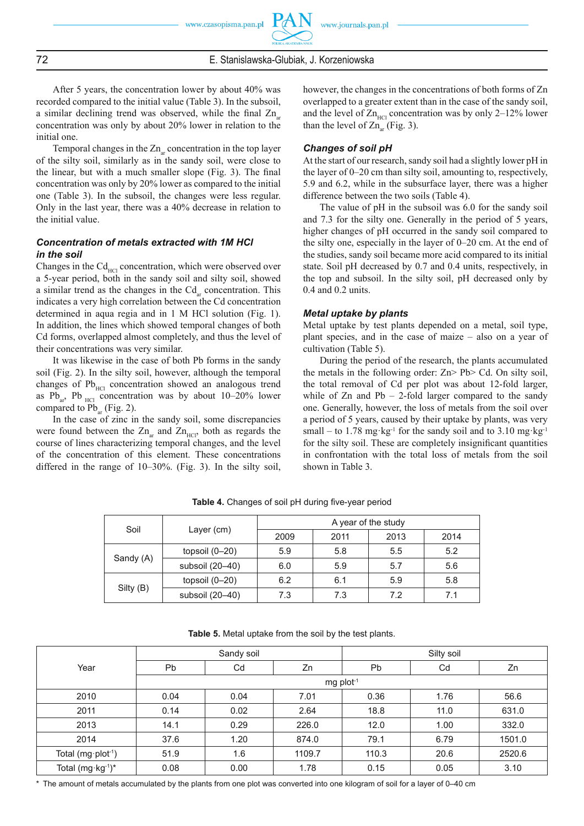After 5 years, the concentration lower by about 40% was recorded compared to the initial value (Table 3). In the subsoil, a similar declining trend was observed, while the final Zn concentration was only by about 20% lower in relation to the initial one.

Temporal changes in the  $Zn_{ar}$  concentration in the top layer of the silty soil, similarly as in the sandy soil, were close to the linear, but with a much smaller slope (Fig. 3). The final concentration was only by 20% lower as compared to the initial one (Table 3). In the subsoil, the changes were less regular. Only in the last year, there was a 40% decrease in relation to the initial value.

# *Concentration of metals extracted with 1M HCl in the soil*

Changes in the  $Cd<sub>HCl</sub>$  concentration, which were observed over a 5-year period, both in the sandy soil and silty soil, showed a similar trend as the changes in the  $Cd<sub>ar</sub>$  concentration. This indicates a very high correlation between the Cd concentration determined in aqua regia and in 1 M HCl solution (Fig. 1). In addition, the lines which showed temporal changes of both Cd forms, overlapped almost completely, and thus the level of their concentrations was very similar.

It was likewise in the case of both Pb forms in the sandy soil (Fig. 2). In the silty soil, however, although the temporal changes of  $Pb<sub>HCl</sub>$  concentration showed an analogous trend as  $Pb_{ar}$ ,  $Pb_{HCl}$  concentration was by about 10–20% lower compared to  $Pb_{ar}$  (Fig. 2).

In the case of zinc in the sandy soil, some discrepancies were found between the  $Zn_{\text{ar}}$  and  $Zn_{\text{HCl}}$ , both as regards the course of lines characterizing temporal changes, and the level of the concentration of this element. These concentrations differed in the range of 10–30%. (Fig. 3). In the silty soil, however, the changes in the concentrations of both forms of Zn overlapped to a greater extent than in the case of the sandy soil, and the level of  $Zn_{HCl}$  concentration was by only 2–12% lower than the level of  $Zn_{ar}$  (Fig. 3).

# *Changes of soil pH*

At the start of our research, sandy soil had a slightly lower pH in the layer of 0–20 cm than silty soil, amounting to, respectively, 5.9 and 6.2, while in the subsurface layer, there was a higher difference between the two soils (Table 4).

The value of pH in the subsoil was 6.0 for the sandy soil and 7.3 for the silty one. Generally in the period of 5 years, higher changes of pH occurred in the sandy soil compared to the silty one, especially in the layer of 0–20 cm. At the end of the studies, sandy soil became more acid compared to its initial state. Soil pH decreased by 0.7 and 0.4 units, respectively, in the top and subsoil. In the silty soil, pH decreased only by 0.4 and 0.2 units.

## *Metal uptake by plants*

Metal uptake by test plants depended on a metal, soil type, plant species, and in the case of maize – also on a year of cultivation (Table 5).

During the period of the research, the plants accumulated the metals in the following order: Zn> Pb> Cd. On silty soil, the total removal of Cd per plot was about 12-fold larger, while of  $Zn$  and  $Pb - 2$ -fold larger compared to the sandy one. Generally, however, the loss of metals from the soil over a period of 5 years, caused by their uptake by plants, was very small – to 1.78 mg·kg<sup>-1</sup> for the sandy soil and to 3.10 mg·kg<sup>-1</sup> for the silty soil. These are completely insignificant quantities in confrontation with the total loss of metals from the soil shown in Table 3.

| Soil      |                  | A year of the study |      |      |      |  |  |  |
|-----------|------------------|---------------------|------|------|------|--|--|--|
|           | Layer (cm)       | 2009                | 2011 | 2013 | 2014 |  |  |  |
| Sandy (A) | topsoil $(0-20)$ | 5.9                 | 5.8  | 5.5  | 5.2  |  |  |  |
|           | subsoil (20-40)  | 6.0                 | 5.9  | 5.7  | 5.6  |  |  |  |
| Silty (B) | topsoil $(0-20)$ | 6.2                 | 6.1  | 5.9  | 5.8  |  |  |  |
|           | subsoil (20-40)  | 7.3                 | 7.3  | 7.2  | 7.1  |  |  |  |

Table 4. Changes of soil pH during five-year period

| Table 5. Metal uptake from the soil by the test plants. |  |  |  |  |  |  |  |  |
|---------------------------------------------------------|--|--|--|--|--|--|--|--|
|---------------------------------------------------------|--|--|--|--|--|--|--|--|

|                                |                         | Sandy soil |        | Silty soil |      |        |  |
|--------------------------------|-------------------------|------------|--------|------------|------|--------|--|
| Year                           | <b>Pb</b>               | Cd         | Zn     | Pb         | Cd   | Zn     |  |
|                                | $mg$ plot <sup>-1</sup> |            |        |            |      |        |  |
| 2010                           | 0.04                    | 0.04       | 7.01   | 0.36       | 1.76 | 56.6   |  |
| 2011                           | 0.14                    | 0.02       | 2.64   | 18.8       | 11.0 | 631.0  |  |
| 2013                           | 14.1                    | 0.29       | 226.0  | 12.0       | 1.00 | 332.0  |  |
| 2014                           | 37.6                    | 1.20       | 874.0  | 79.1       | 6.79 | 1501.0 |  |
| Total (mg·plot <sup>-1</sup> ) | 51.9                    | 1.6        | 1109.7 | 110.3      | 20.6 | 2520.6 |  |
| Total (mg·kg-1)*               | 0.08                    | 0.00       | 1.78   | 0.15       | 0.05 | 3.10   |  |

\* The amount of metals accumulated by the plants from one plot was converted into one kilogram of soil for a layer of 0–40 cm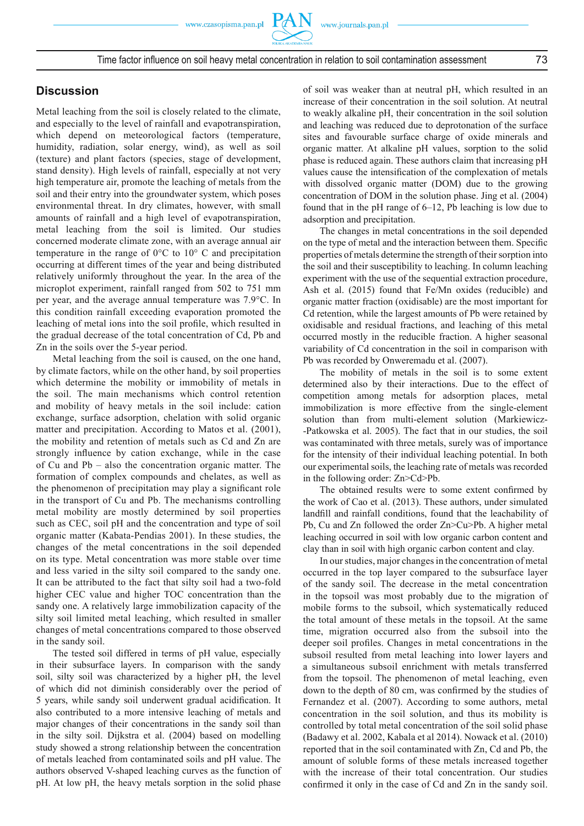# **Discussion**

Metal leaching from the soil is closely related to the climate, and especially to the level of rainfall and evapotranspiration, which depend on meteorological factors (temperature, humidity, radiation, solar energy, wind), as well as soil (texture) and plant factors (species, stage of development, stand density). High levels of rainfall, especially at not very high temperature air, promote the leaching of metals from the soil and their entry into the groundwater system, which poses environmental threat. In dry climates, however, with small amounts of rainfall and a high level of evapotranspiration, metal leaching from the soil is limited. Our studies concerned moderate climate zone, with an average annual air temperature in the range of 0°C to 10° C and precipitation occurring at different times of the year and being distributed relatively uniformly throughout the year. In the area of the microplot experiment, rainfall ranged from 502 to 751 mm per year, and the average annual temperature was 7.9°C. In this condition rainfall exceeding evaporation promoted the leaching of metal ions into the soil profile, which resulted in the gradual decrease of the total concentration of Cd, Pb and Zn in the soils over the 5-year period.

Metal leaching from the soil is caused, on the one hand, by climate factors, while on the other hand, by soil properties which determine the mobility or immobility of metals in the soil. The main mechanisms which control retention and mobility of heavy metals in the soil include: cation exchange, surface adsorption, chelation with solid organic matter and precipitation. According to Matos et al. (2001), the mobility and retention of metals such as Cd and Zn are strongly influence by cation exchange, while in the case of Cu and Pb – also the concentration organic matter. The formation of complex compounds and chelates, as well as the phenomenon of precipitation may play a significant role in the transport of Cu and Pb. The mechanisms controlling metal mobility are mostly determined by soil properties such as CEC, soil pH and the concentration and type of soil organic matter (Kabata-Pendias 2001). In these studies, the changes of the metal concentrations in the soil depended on its type. Metal concentration was more stable over time and less varied in the silty soil compared to the sandy one. It can be attributed to the fact that silty soil had a two-fold higher CEC value and higher TOC concentration than the sandy one. A relatively large immobilization capacity of the silty soil limited metal leaching, which resulted in smaller changes of metal concentrations compared to those observed in the sandy soil.

The tested soil differed in terms of pH value, especially in their subsurface layers. In comparison with the sandy soil, silty soil was characterized by a higher pH, the level of which did not diminish considerably over the period of 5 years, while sandy soil underwent gradual acidification. It also contributed to a more intensive leaching of metals and major changes of their concentrations in the sandy soil than in the silty soil. Dijkstra et al. (2004) based on modelling study showed a strong relationship between the concentration of metals leached from contaminated soils and pH value. The authors observed V-shaped leaching curves as the function of pH. At low pH, the heavy metals sorption in the solid phase

of soil was weaker than at neutral pH, which resulted in an increase of their concentration in the soil solution. At neutral to weakly alkaline pH, their concentration in the soil solution and leaching was reduced due to deprotonation of the surface sites and favourable surface charge of oxide minerals and organic matter. At alkaline pH values, sorption to the solid phase is reduced again. These authors claim that increasing pH values cause the intensification of the complexation of metals with dissolved organic matter (DOM) due to the growing concentration of DOM in the solution phase. Jing et al. (2004) found that in the pH range of 6–12, Pb leaching is low due to adsorption and precipitation.

The changes in metal concentrations in the soil depended on the type of metal and the interaction between them. Specific properties of metals determine the strength of their sorption into the soil and their susceptibility to leaching. In column leaching experiment with the use of the sequential extraction procedure, Ash et al. (2015) found that Fe/Mn oxides (reducible) and organic matter fraction (oxidisable) are the most important for Cd retention, while the largest amounts of Pb were retained by oxidisable and residual fractions, and leaching of this metal occurred mostly in the reducible fraction. A higher seasonal variability of Cd concentration in the soil in comparison with Pb was recorded by Onweremadu et al. (2007).

The mobility of metals in the soil is to some extent determined also by their interactions. Due to the effect of competition among metals for adsorption places, metal immobilization is more effective from the single-element solution than from multi-element solution (Markiewicz- -Patkowska et al. 2005). The fact that in our studies, the soil was contaminated with three metals, surely was of importance for the intensity of their individual leaching potential. In both our experimental soils, the leaching rate of metals was recorded in the following order: Zn>Cd>Pb.

The obtained results were to some extent confirmed by the work of Cao et al. (2013). These authors, under simulated landfill and rainfall conditions, found that the leachability of Pb, Cu and Zn followed the order Zn>Cu>Pb. A higher metal leaching occurred in soil with low organic carbon content and clay than in soil with high organic carbon content and clay.

In our studies, major changes in the concentration of metal occurred in the top layer compared to the subsurface layer of the sandy soil. The decrease in the metal concentration in the topsoil was most probably due to the migration of mobile forms to the subsoil, which systematically reduced the total amount of these metals in the topsoil. At the same time, migration occurred also from the subsoil into the deeper soil profiles. Changes in metal concentrations in the subsoil resulted from metal leaching into lower layers and a simultaneous subsoil enrichment with metals transferred from the topsoil. The phenomenon of metal leaching, even down to the depth of 80 cm, was confirmed by the studies of Fernandez et al. (2007). According to some authors, metal concentration in the soil solution, and thus its mobility is controlled by total metal concentration of the soil solid phase (Badawy et al. 2002, Kabala et al 2014). Nowack et al. (2010) reported that in the soil contaminated with Zn, Cd and Pb, the amount of soluble forms of these metals increased together with the increase of their total concentration. Our studies confirmed it only in the case of Cd and Zn in the sandy soil.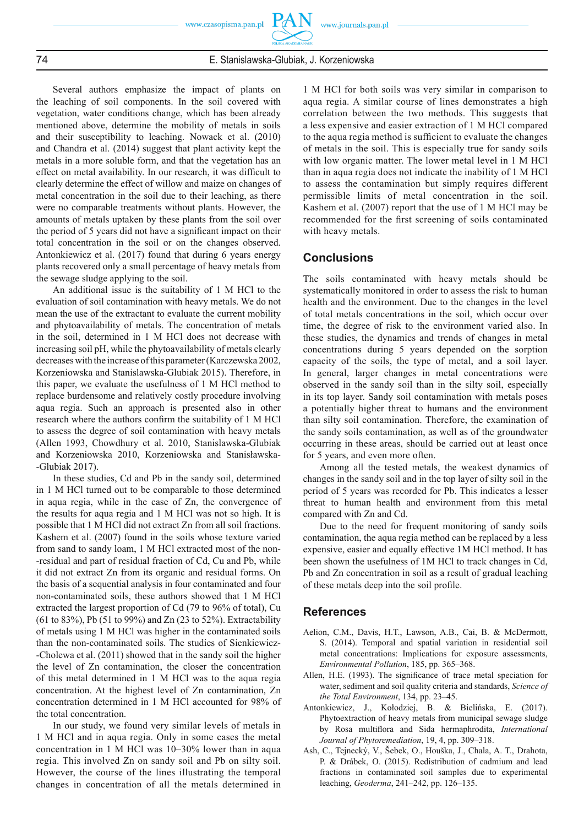74 E. Stanislawska-Glubiak, J. Korzeniowska

Several authors emphasize the impact of plants on the leaching of soil components. In the soil covered with vegetation, water conditions change, which has been already mentioned above, determine the mobility of metals in soils and their susceptibility to leaching. Nowack et al. (2010) and Chandra et al. (2014) suggest that plant activity kept the metals in a more soluble form, and that the vegetation has an effect on metal availability. In our research, it was difficult to clearly determine the effect of willow and maize on changes of metal concentration in the soil due to their leaching, as there were no comparable treatments without plants. However, the amounts of metals uptaken by these plants from the soil over the period of 5 years did not have a significant impact on their total concentration in the soil or on the changes observed. Antonkiewicz et al. (2017) found that during 6 years energy plants recovered only a small percentage of heavy metals from the sewage sludge applying to the soil.

An additional issue is the suitability of 1 M HCl to the evaluation of soil contamination with heavy metals. We do not mean the use of the extractant to evaluate the current mobility and phytoavailability of metals. The concentration of metals in the soil, determined in 1 M HCl does not decrease with increasing soil pH, while the phytoavailability of metals clearly decreases with the increase of this parameter (Karczewska 2002, Korzeniowska and Stanislawska-Glubiak 2015). Therefore, in this paper, we evaluate the usefulness of 1 M HCl method to replace burdensome and relatively costly procedure involving aqua regia. Such an approach is presented also in other research where the authors confirm the suitability of 1 M HCl to assess the degree of soil contamination with heavy metals (Allen 1993, Chowdhury et al. 2010, Stanislawska-Glubiak and Korzeniowska 2010, Korzeniowska and Stanisławska- -Glubiak 2017).

In these studies, Cd and Pb in the sandy soil, determined in 1 M HCl turned out to be comparable to those determined in aqua regia, while in the case of Zn, the convergence of the results for aqua regia and 1 M HCl was not so high. It is possible that 1 M HCl did not extract Zn from all soil fractions. Kashem et al. (2007) found in the soils whose texture varied from sand to sandy loam, 1 M HCl extracted most of the non- -residual and part of residual fraction of Cd, Cu and Pb, while it did not extract Zn from its organic and residual forms. On the basis of a sequential analysis in four contaminated and four non-contaminated soils, these authors showed that 1 M HCl extracted the largest proportion of Cd (79 to 96% of total), Cu (61 to 83%), Pb (51 to 99%) and Zn (23 to 52%). Extractability of metals using 1 M HCl was higher in the contaminated soils than the non-contaminated soils. The studies of Sienkiewicz- -Cholewa et al. (2011) showed that in the sandy soil the higher the level of Zn contamination, the closer the concentration of this metal determined in 1 M HCl was to the aqua regia concentration. At the highest level of Zn contamination, Zn concentration determined in 1 M HCl accounted for 98% of the total concentration.

In our study, we found very similar levels of metals in 1 M HCl and in aqua regia. Only in some cases the metal concentration in 1 M HCl was 10–30% lower than in aqua regia. This involved Zn on sandy soil and Pb on silty soil. However, the course of the lines illustrating the temporal changes in concentration of all the metals determined in

1 M HCl for both soils was very similar in comparison to aqua regia. A similar course of lines demonstrates a high correlation between the two methods. This suggests that a less expensive and easier extraction of 1 M HCl compared to the aqua regia method is sufficient to evaluate the changes of metals in the soil. This is especially true for sandy soils with low organic matter. The lower metal level in 1 M HCl than in aqua regia does not indicate the inability of 1 M HCl to assess the contamination but simply requires different permissible limits of metal concentration in the soil. Kashem et al. (2007) report that the use of 1 M HCl may be recommended for the first screening of soils contaminated with heavy metals.

# **Conclusions**

The soils contaminated with heavy metals should be systematically monitored in order to assess the risk to human health and the environment. Due to the changes in the level of total metals concentrations in the soil, which occur over time, the degree of risk to the environment varied also. In these studies, the dynamics and trends of changes in metal concentrations during 5 years depended on the sorption capacity of the soils, the type of metal, and a soil layer. In general, larger changes in metal concentrations were observed in the sandy soil than in the silty soil, especially in its top layer. Sandy soil contamination with metals poses a potentially higher threat to humans and the environment than silty soil contamination. Therefore, the examination of the sandy soils contamination, as well as of the groundwater occurring in these areas, should be carried out at least once for 5 years, and even more often.

Among all the tested metals, the weakest dynamics of changes in the sandy soil and in the top layer of silty soil in the period of 5 years was recorded for Pb. This indicates a lesser threat to human health and environment from this metal compared with Zn and Cd.

Due to the need for frequent monitoring of sandy soils contamination, the aqua regia method can be replaced by a less expensive, easier and equally effective 1M HCl method. It has been shown the usefulness of 1M HCl to track changes in Cd, Pb and Zn concentration in soil as a result of gradual leaching of these metals deep into the soil profile.

# **References**

- Aelion, C.M., Davis, H.T., Lawson, A.B., Cai, B. & McDermott, S. (2014). Temporal and spatial variation in residential soil metal concentrations: Implications for exposure assessments, *Environmental Pollution*, 185, pp. 365–368.
- Allen, H.E. (1993). The significance of trace metal speciation for water, sediment and soil quality criteria and standards, *Science of the Total Environment*, 134, pp. 23–45.
- Antonkiewicz, J., Kołodziej, B. & Bielińska, E. (2017). Phytoextraction of heavy metals from municipal sewage sludge by Rosa multifl ora and Sida hermaphrodita, *International Journal of Phytoremediation*, 19, 4, pp. 309–318.
- Ash, C., Tejnecký, V., Šebek, O., Houška, J., Chala, A. T., Drahota, P. & Drábek, O. (2015). Redistribution of cadmium and lead fractions in contaminated soil samples due to experimental leaching, *Geoderma*, 241–242, pp. 126–135.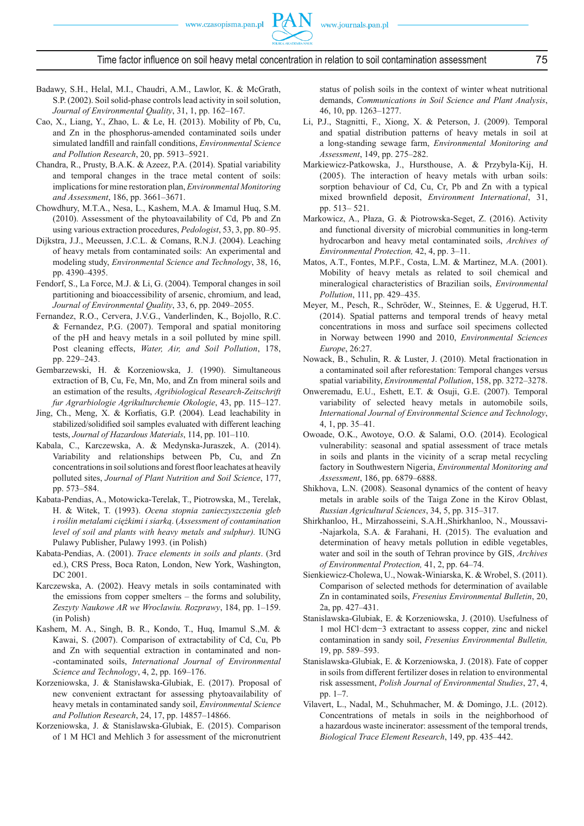

Time factor influence on soil heavy metal concentration in relation to soil contamination assessment 75

- Badawy, S.H., Helal, M.I., Chaudri, A.M., Lawlor, K. & McGrath, S.P. (2002). Soil solid-phase controls lead activity in soil solution, *Journal of Environmental Quality*, 31, 1, pp. 162–167.
- Cao, X., Liang, Y., Zhao, L. & Le, H. (2013). Mobility of Pb, Cu, and Zn in the phosphorus-amended contaminated soils under simulated landfill and rainfall conditions, *Environmental Science and Pollution Research*, 20, pp. 5913–5921.
- Chandra, R., Prusty, B.A.K. & Azeez, P.A. (2014). Spatial variability and temporal changes in the trace metal content of soils: implications for mine restoration plan, *Environmental Monitoring and Assessment*, 186, pp. 3661–3671.
- Chowdhury, M.T.A., Nesa, L., Kashem, M.A. & Imamul Huq, S.M. (2010). Assessment of the phytoavailability of Cd, Pb and Zn using various extraction procedures, *Pedologist*, 53, 3, pp. 80–95.
- Dijkstra, J.J., Meeussen, J.C.L. & Comans, R.N.J. (2004). Leaching of heavy metals from contaminated soils: An experimental and modeling study, *Environmental Science and Technology*, 38, 16, pp. 4390–4395.
- Fendorf, S., La Force, M.J. & Li, G. (2004). Temporal changes in soil partitioning and bioaccessibility of arsenic, chromium, and lead, *Journal of Environmental Quality*, 33, 6, pp. 2049–2055.
- Fernandez, R.O., Cervera, J.V.G., Vanderlinden, K., Bojollo, R.C. & Fernandez, P.G. (2007). Temporal and spatial monitoring of the pH and heavy metals in a soil polluted by mine spill. Post cleaning effects, *Water, Air, and Soil Pollution*, 178, pp. 229–243.
- Gembarzewski, H. & Korzeniowska, J. (1990). Simultaneous extraction of B, Cu, Fe, Mn, Mo, and Zn from mineral soils and an estimation of the results, *Agribiological Research-Zeitschrift fur Agrarbiologie Agrikulturchemie Okologie*, 43, pp. 115–127.
- Jing, Ch., Meng, X. & Korfiatis, G.P. (2004). Lead leachability in stabilized/solidified soil samples evaluated with different leaching tests, *Journal of Hazardous Materials*, 114, pp. 101–110.
- Kabala, C., Karczewska, A. & Medynska-Juraszek, A. (2014). Variability and relationships between Pb, Cu, and Zn concentrations in soil solutions and forest floor leachates at heavily polluted sites, *Journal of Plant Nutrition and Soil Science*, 177, pp. 573–584.
- Kabata-Pendias, A., Motowicka-Terelak, T., Piotrowska, M., Terelak, H. & Witek, T. (1993). *Ocena stopnia zanieczyszczenia gleb i roślin metalami ciężkimi i siarką*. (*Assessment of contamination level of soil and plants with heavy metals and sulphur).* IUNG Pulawy Publisher, Pulawy 1993. (in Polish)
- Kabata-Pendias, A. (2001). *Trace elements in soils and plants*. (3rd ed.), CRS Press, Boca Raton, London, New York, Washington, DC 2001.
- Karczewska, A. (2002). Heavy metals in soils contaminated with the emissions from copper smelters – the forms and solubility, *Zeszyty Naukowe AR we Wroclawiu. Rozprawy*, 184, pp. 1–159. (in Polish)
- Kashem, M. A., Singh, B. R., Kondo, T., Huq, Imamul S.,M. & Kawai, S. (2007). Comparison of extractability of Cd, Cu, Pb and Zn with sequential extraction in contaminated and non- -contaminated soils, *International Journal of Environmental Science and Technology*, 4, 2, pp. 169–176.
- Korzeniowska, J. & Stanisławska-Glubiak, E. (2017). Proposal of new convenient extractant for assessing phytoavailability of heavy metals in contaminated sandy soil, *Environmental Science and Pollution Research*, 24, 17, pp. 14857–14866.
- Korzeniowska, J. & Stanislawska-Glubiak, E. (2015). Comparison of 1 M HCl and Mehlich 3 for assessment of the micronutrient

status of polish soils in the context of winter wheat nutritional demands, *Communications in Soil Science and Plant Analysis*, 46, 10, pp. 1263–1277.

- Li, P.J., Stagnitti, F., Xiong, X. & Peterson, J. (2009). Temporal and spatial distribution patterns of heavy metals in soil at a long-standing sewage farm, *Environmental Monitoring and Assessment*, 149, pp. 275–282.
- Markiewicz-Patkowska, J., Hursthouse, A. & Przybyla-Kij, H. (2005). The interaction of heavy metals with urban soils: sorption behaviour of Cd, Cu, Cr, Pb and Zn with a typical mixed brownfield deposit, *Environment International*, 31, pp. 513– 521.
- Markowicz, A., Płaza, G. & Piotrowska-Seget, Z. (2016). Activity and functional diversity of microbial communities in long-term hydrocarbon and heavy metal contaminated soils, *Archives of Environmental Protection,* 42, 4, pp. 3–11.
- Matos, A.T., Fontes, M.P.F., Costa, L.M. & Martinez, M.A. (2001). Mobility of heavy metals as related to soil chemical and mineralogical characteristics of Brazilian soils, *Environmental Pollution*, 111, pp. 429–435.
- Meyer, M., Pesch, R., Schröder, W., Steinnes, E. & Uggerud, H.T. (2014). Spatial patterns and temporal trends of heavy metal concentrations in moss and surface soil specimens collected in Norway between 1990 and 2010, *Environmental Sciences Europe*, 26:27.
- Nowack, B., Schulin, R. & Luster, J. (2010). Metal fractionation in a contaminated soil after reforestation: Temporal changes versus spatial variability, *Environmental Pollution*, 158, pp. 3272–3278.
- Onweremadu, E.U., Eshett, E.T. & Osuji, G.E. (2007). Temporal variability of selected heavy metals in automobile soils, *International Journal of Environmental Science and Technology*, 4, 1, pp. 35–41.
- Owoade, O.K., Awotoye, O.O. & Salami, O.O. (2014). Ecological vulnerability: seasonal and spatial assessment of trace metals in soils and plants in the vicinity of a scrap metal recycling factory in Southwestern Nigeria, *Environmental Monitoring and Assessment*, 186, pp. 6879–6888.
- Shikhova, L.N. (2008). Seasonal dynamics of the content of heavy metals in arable soils of the Taiga Zone in the Kirov Oblast, *Russian Agricultural Sciences*, 34, 5, pp. 315–317.
- Shirkhanloo, H., Mirzahosseini, S.A.H.,Shirkhanloo, N., Moussavi- -Najarkola, S.A. & Farahani, H. (2015). The evaluation and determination of heavy metals pollution in edible vegetables, water and soil in the south of Tehran province by GIS, *Archives of Environmental Protection,* 41, 2, pp. 64–74.
- Sienkiewicz-Cholewa, U., Nowak-Winiarska, K. & Wrobel, S. (2011). Comparison of selected methods for determination of available Zn in contaminated soils, *Fresenius Environmental Bulletin*, 20, 2a, pp. 427–431.
- Stanislawska-Glubiak, E. & Korzeniowska, J. (2010). Usefulness of 1 mol HCl·dcm−3 extractant to assess copper, zinc and nickel contamination in sandy soil, *Fresenius Environmental Bulletin,* 19, pp. 589–593.
- Stanislawska-Glubiak, E. & Korzeniowska, J. (2018). Fate of copper in soils from different fertilizer doses in relation to environmental risk assessment, *Polish Journal of Environmental Studies*, 27, 4, pp. 1–7.
- Vilavert, L., Nadal, M., Schuhmacher, M. & Domingo, J.L. (2012). Concentrations of metals in soils in the neighborhood of a hazardous waste incinerator: assessment of the temporal trends, *Biological Trace Element Research*, 149, pp. 435–442.